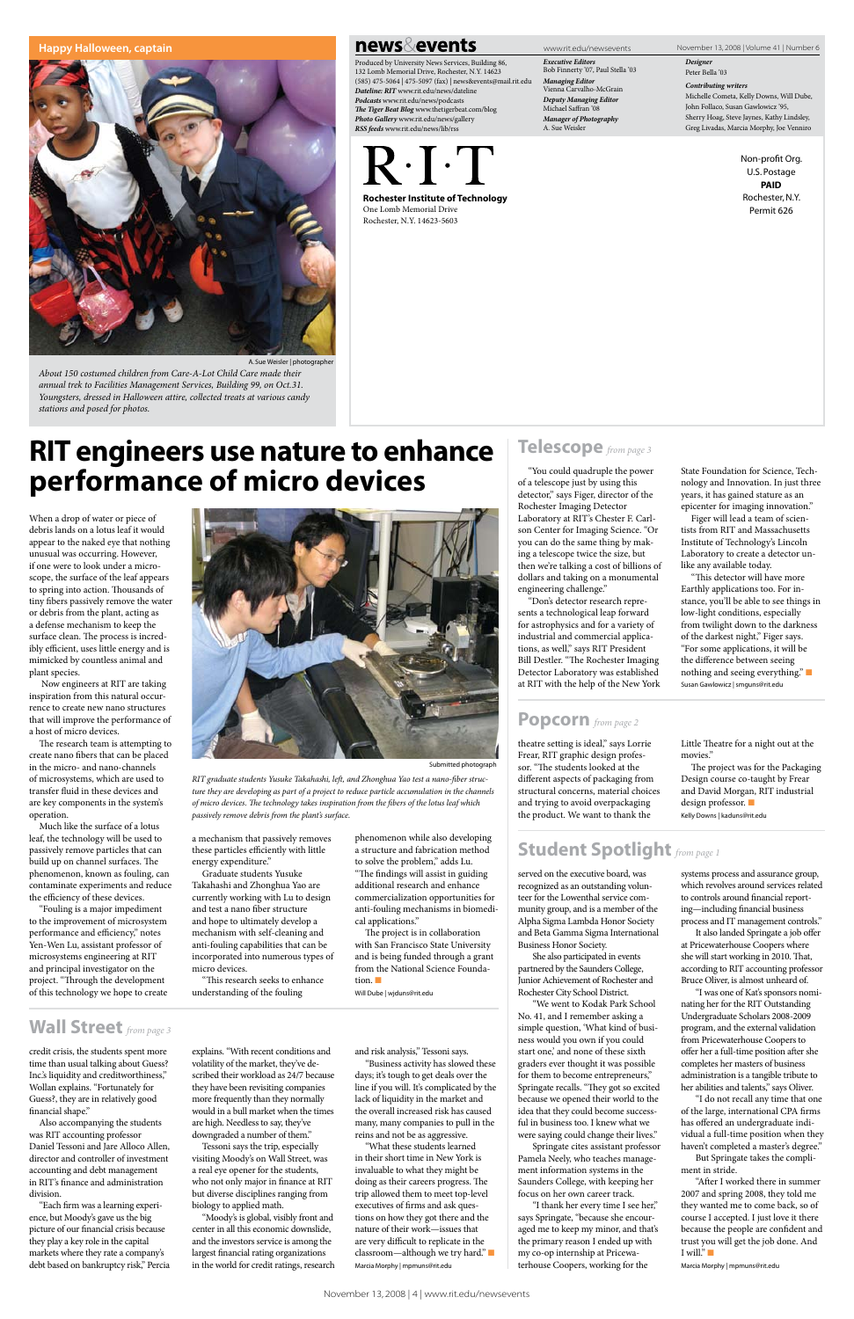*Executive Editors* Bob Finnerty '07, Paul Stella '03 *Managing Editor* Vienna Carvalho-McGrain *Deputy Managing Editor* Michael Saffran '08 *Manager of Photography* A. Sue Weisler

*Designer* Peter Bella '03

*Contributing writers*

Michelle Cometa, Kelly Downs, Will Dube, John Follaco, Susan Gawlowicz '95, Sherry Hoag, Steve Jaynes, Kathy Lindsley, Greg Livadas, Marcia Morphy, Joe Venniro

> Non-profit Org. U.S. Postage PAID Rochester, N.Y. Permit 626

Rochester Institute of Technology One Lomb Memorial Drive Rochester, N.Y. 14623-5603

Produced by University News Services, Building 86, 132 Lomb Memorial Drive, Rochester, N.Y. 14623 (585) 475-5064 | 475-5097 (fax) | news&events@mail.rit.edu *Dateline: RIT* www.rit.edu/news/dateline *Podcasts* www.rit.edu/news/podcasts *The Tiger Beat Blog* www.thetigerbeat.com/blog *Photo Gallery* www.rit.edu/news/gallery *RSS feeds* www.rit.edu/news/lib/rss



www.rit.edu/newsevents November 13, 2008 | Volume 41 | Number 6

*About 150 costumed children from Care-A-Lot Child Care made their annual trek to Facilities Management Services, Building 99, on Oct.31. Youngsters, dressed in Halloween attire, collected treats at various candy stations and posed for photos.* 

#### **Happy Halloween, captain**



news⊗events

A. Sue Weisler | photographer

When a drop of water or piece of debris lands on a lotus leaf it would appear to the naked eye that nothing unusual was occurring. However, if one were to look under a microscope, the surface of the leaf appears to spring into action. Thousands of tiny fibers passively remove the water or debris from the plant, acting as a defense mechanism to keep the surface clean. The process is incredibly efficient, uses little energy and is mimicked by countless animal and plant species.

 Now engineers at RIT are taking inspiration from this natural occurrence to create new nano structures that will improve the performance of a host of micro devices.

The research team is attempting to create nano fibers that can be placed in the micro- and nano-channels of microsystems, which are used to transfer fluid in these devices and are key components in the system's operation.

Much like the surface of a lotus leaf, the technology will be used to passively remove particles that can build up on channel surfaces. The phenomenon, known as fouling, can contaminate experiments and reduce the efficiency of these devices.

> It also landed Springate a job offer at Pricewaterhouse Coopers where she will start working in 2010. That, according to RIT accounting profes

"Fouling is a major impediment to the improvement of microsystem performance and efficiency," notes Yen-Wen Lu, assistant professor of microsystems engineering at RIT

and principal investigator on the project. "Through the development of this technology we hope to create these particles efficiently with little energy expenditure."

> "After I worked there in summer 2007 and spring 2008, they told me they wanted me to come back, so of course I accepted. I just love it there because the people are confident and trust you will get the job done. And I will." $\blacksquare$

Graduate students Yusuke Takahashi and Zhonghua Yao are currently working with Lu to design and test a nano fiber structure and hope to ultimately develop a mechanism with self-cleaning and anti-fouling capabilities that can be incorporated into numerous types of

### micro devices.

"This research seeks to enhance understanding of the fouling

tion.  $\blacksquare$ 

phenomenon while also developing a structure and fabrication method to solve the problem," adds Lu. "The findings will assist in guiding additional research and enhance commercialization opportunities for anti-fouling mechanisms in biomedical applications."

The project is in collaboration with San Francisco State University and is being funded through a grant from the National Science Founda-

Will Dube | wjduns@rit.edu

# **RIT engineers use nature to enhance performance of micro devices**

served on the executive board, was recognized as an outstanding volunteer for the Lowenthal service community group, and is a member of the Alpha Sigma Lambda Honor Society and Beta Gamma Sigma International Business Honor Society.

She also participated in events partnered by the Saunders College, Junior Achievement of Rochester and Rochester City School District.

"We went to Kodak Park School No. 41, and I remember asking a simple question, 'What kind of business would you own if you could start one,' and none of these sixth graders ever thought it was possible for them to become entrepreneurs," Springate recalls. "They got so excited because we opened their world to the idea that they could become successful in business too. I knew what we were saying could change their lives."

Springate cites assistant professor Pamela Neely, who teaches management information systems in the Saunders College, with keeping her focus on her own career track.

"I thank her every time I see her," says Springate, "because she encouraged me to keep my minor, and that's the primary reason I ended up with my co-op internship at Pricewaterhouse Coopers, working for the

systems process and assurance group, which revolves around services related to controls around financial reporting—including financial business process and IT management controls."

Bruce Oliver, is almost unheard of.

"I was one of Kat's sponsors nominating her for the RIT Outstanding Undergraduate Scholars 2008-2009 program, and the external validation from Pricewaterhouse Coopers to offer her a full-time position after she completes her masters of business administration is a tangible tribute to her abilities and talents," says Oliver.

a mechanism that passively removes *passively remove debris from the plant's surface.*

> "I do not recall any time that one of the large, international CPA firms has offered an undergraduate individual a full-time position when they haven't completed a master's degree."

But Springate takes the compliment in stride.

Marcia Morphy | mpmuns@rit.edu

credit crisis, the students spent more time than usual talking about Guess? Inc.'s liquidity and creditworthiness," Wollan explains. "Fortunately for Guess?, they are in relatively good financial shape."

Also accompanying the students was RIT accounting professor Daniel Tessoni and Jare Alloco Allen, director and controller of investment accounting and debt management in RIT's finance and administration division.

"Each firm was a learning experience, but Moody's gave us the big picture of our financial crisis because they play a key role in the capital markets where they rate a company's debt based on bankruptcy risk," Percia

explains. "With recent conditions and volatility of the market, they've described their workload as 24/7 because they have been revisiting companies more frequently than they normally would in a bull market when the times are high. Needless to say, they've downgraded a number of them."

Tessoni says the trip, especially visiting Moody's on Wall Street, was a real eye opener for the students, who not only major in finance at RIT but diverse disciplines ranging from biology to applied math.

"Moody's is global, visibly front and center in all this economic downslide, and the investors service is among the largest financial rating organizations in the world for credit ratings, research and risk analysis," Tessoni says.

"Business activity has slowed these days; it's tough to get deals over the line if you will. It's complicated by the lack of liquidity in the market and the overall increased risk has caused many, many companies to pull in the reins and not be as aggressive.

"What these students learned in their short time in New York is invaluable to what they might be doing as their careers progress. The trip allowed them to meet top-level executives of firms and ask questions on how they got there and the nature of their work—issues that are very difficult to replicate in the classroom—although we try hard." Marcia Morphy | mpmuns@rit.edu



*RIT graduate students Yusuke Takahashi, left, and Zhonghua Yao test a nano-fiber structure they are developing as part of a project to reduce particle accumulation in the channels of micro devices. The technology takes inspiration from the fibers of the lotus leaf which* 

## Student Spotlight *from page 1*

## Wall Street *from page 3*

"You could quadruple the power of a telescope just by using this detector," says Figer, director of the Rochester Imaging Detector Laboratory at RIT's Chester F. Carlson Center for Imaging Science. "Or you can do the same thing by making a telescope twice the size, but then we're talking a cost of billions of dollars and taking on a monumental engineering challenge."

"Don's detector research represents a technological leap forward for astrophysics and for a variety of industrial and commercial applications, as well," says RIT President Bill Destler. "The Rochester Imaging Detector Laboratory was established at RIT with the help of the New York State Foundation for Science, Tech-

nology and Innovation. In just three years, it has gained stature as an epicenter for imaging innovation." Figer will lead a team of scien-

tists from RIT and Massachusetts Institute of Technology's Lincoln Laboratory to create a detector unlike any available today.

"This detector will have more Earthly applications too. For instance, you'll be able to see things in low-light conditions, especially from twilight down to the darkness of the darkest night," Figer says. "For some applications, it will be the difference between seeing nothing and seeing everything." $\blacksquare$ Susan Gawlowicz | smguns@rit.edu

## Telescope *from page 3*

theatre setting is ideal," says Lorrie Frear, RIT graphic design professor. "The students looked at the different aspects of packaging from structural concerns, material choices and trying to avoid overpackaging the product. We want to thank the

Little Theatre for a night out at the movies."

The project was for the Packaging Design course co-taught by Frear and David Morgan, RIT industrial design professor. Kelly Downs | kaduns@rit.edu

Popcorn *from page 2*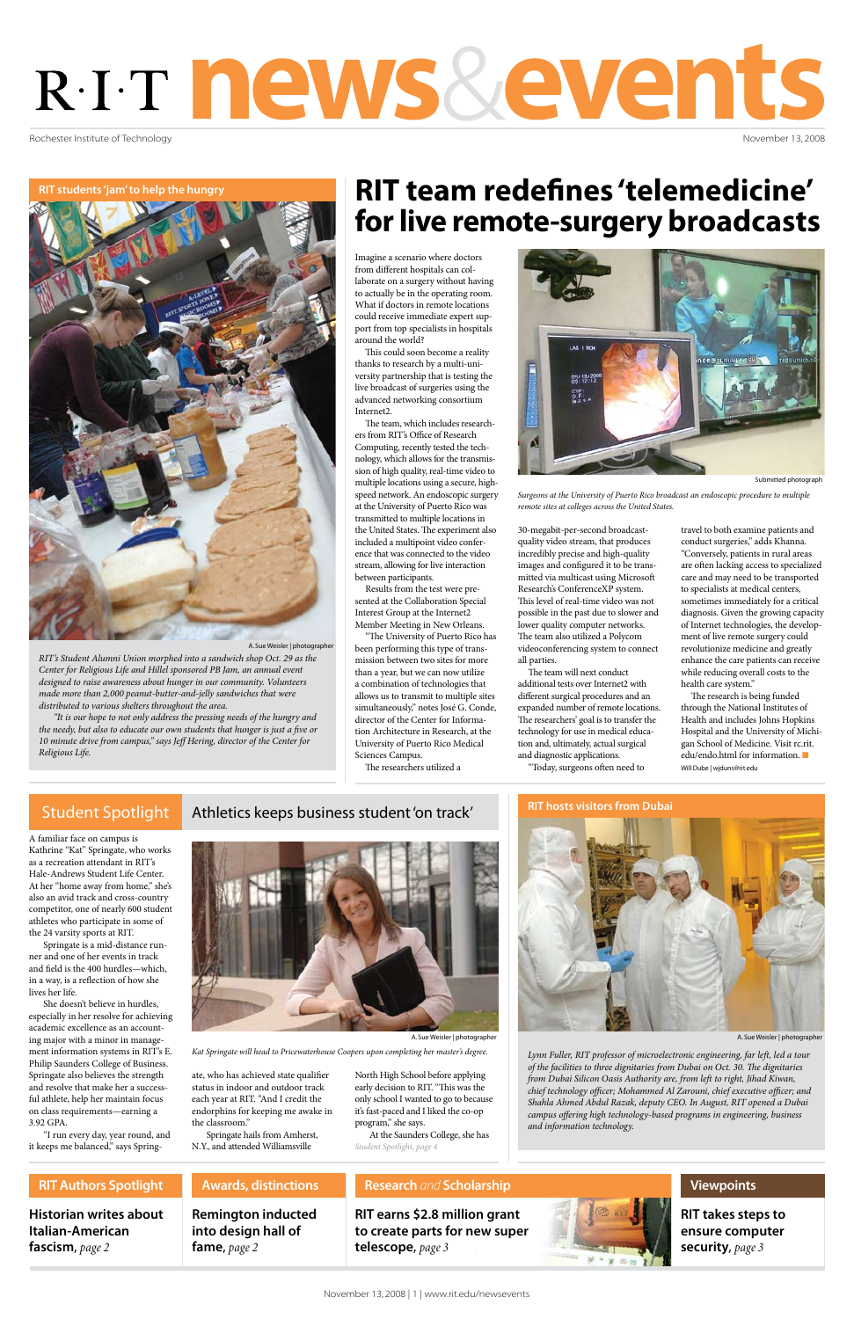Rochester Institute of Technology

# news&events

November 13, 2008

**RIT earns \$2.8 million grant to create parts for new super telescope**, *page 3*

## **Research** *and* **Scholarship**

**Historian writes about Italian-American fascism**, *page 2*

**RIT takes steps to ensure computer security**, *page 3*

## **RIT Authors Spotlight Awards, distinctions**



**Viewpoints**

**Remington inducted into design hall of fame**, *page 2*

Imagine a scenario where doctors from different hospitals can collaborate on a surgery without having to actually be in the operating room. What if doctors in remote locations could receive immediate expert support from top specialists in hospitals around the world?

This could soon become a reality thanks to research by a multi-university partnership that is testing the live broadcast of surgeries using the advanced networking consortium Internet2.

The team, which includes researchers from RIT's Office of Research Computing, recently tested the technology, which allows for the transmission of high quality, real-time video to multiple locations using a secure, highspeed network. An endoscopic surgery at the University of Puerto Rico was transmitted to multiple locations in the United States. The experiment also included a multipoint video conference that was connected to the video stream, allowing for live interaction between participants.

Results from the test were presented at the Collaboration Special Interest Group at the Internet2 Member Meeting in New Orleans.

"The University of Puerto Rico has been performing this type of transmission between two sites for more than a year, but we can now utilize a combination of technologies that allows us to transmit to multiple sites simultaneously," notes José G. Conde, director of the Center for Information Architecture in Research, at the University of Puerto Rico Medical Sciences Campus.

The researchers utilized a

30-megabit-per-second broadcastquality video stream, that produces incredibly precise and high-quality images and configured it to be transmitted via multicast using Microsoft Research's ConferenceXP system. This level of real-time video was not possible in the past due to slower and lower quality computer networks. The team also utilized a Polycom videoconferencing system to connect all parties.

The team will next conduct additional tests over Internet2 with different surgical procedures and an expanded number of remote locations. The researchers' goal is to transfer the technology for use in medical education and, ultimately, actual surgical and diagnostic applications.

"Today, surgeons often need to

travel to both examine patients and conduct surgeries," adds Khanna. "Conversely, patients in rural areas are often lacking access to specialized care and may need to be transported to specialists at medical centers, sometimes immediately for a critical diagnosis. Given the growing capacity of Internet technologies, the development of live remote surgery could revolutionize medicine and greatly enhance the care patients can receive while reducing overall costs to the health care system."

The research is being funded through the National Institutes of Health and includes Johns Hopkins Hospital and the University of Michigan School of Medicine. Visit rc.rit. edu/endo.html for information. Will Dube | wjduns@rit.edu

A familiar face on campus is Kathrine "Kat" Springate, who works as a recreation attendant in RIT's Hale-Andrews Student Life Center. At her "home away from home," she's also an avid track and cross-country competitor, one of nearly 600 student athletes who participate in some of the 24 varsity sports at RIT.

Springate is a mid-distance runner and one of her events in track and field is the 400 hurdles—which,

in a way, is a reflection of how she lives her life.

She doesn't believe in hurdles, especially in her resolve for achieving academic excellence as an accounting major with a minor in management information systems in RIT's E. Philip Saunders College of Business. Springate also believes the strength and resolve that make her a successful athlete, help her maintain focus on class requirements—earning a 3.92 GPA.

"I run every day, year round, and it keeps me balanced," says Spring-

ate, who has achieved state qualifier status in indoor and outdoor track each year at RIT. "And I credit the endorphins for keeping me awake in the classroom."

Springate hails from Amherst, N.Y., and attended Williamsville

North High School before applying early decision to RIT. "This was the only school I wanted to go to because it's fast-paced and I liked the co-op program," she says.

*RIT's Student Alumni Union morphed into a sandwich shop Oct. 29 as the Center for Religious Life and Hillel sponsored PB Jam, an annual event designed to raise awareness about hunger in our community. Volunteers made more than 2,000 peanut-butter-and-jelly sandwiches that were distributed to various shelters throughout the area.*

> At the Saunders College, she has *Student Spotlight, page 4*

*"It is our hope to not only address the pressing needs of the hungry and the needy, but also to educate our own students that hunger is just a five or 10 minute drive from campus," says Jeff Hering, director of the Center for Religious Life.*

**RIT students 'jam' to help the hungry**



A. Sue Weisler | photographer





*Kat Springate will head to Pricewaterhouse Coopers upon completing her master's degree.*

A. Sue Weisler | photographer

# **RIT team redefines 'telemedicine' for live remote-surgery broadcasts**

*Lynn Fuller, RIT professor of microelectronic engineering, far left, led a tour of the facilities to three dignitaries from Dubai on Oct. 30. The dignitaries from Dubai Silicon Oasis Authority are, from left to right, Jihad Kiwan, chief technology officer; Mohammed Al Zarouni, chief executive officer; and Shahla Ahmed Abdul Razak, deputy CEO. In August, RIT opened a Dubai campus offering high technology-based programs in engineering, business and information technology.*



*Surgeons at the University of Puerto Rico broadcast an endoscopic procedure to multiple remote sites at colleges across the United States.* 





A. Sue Weisler | photographer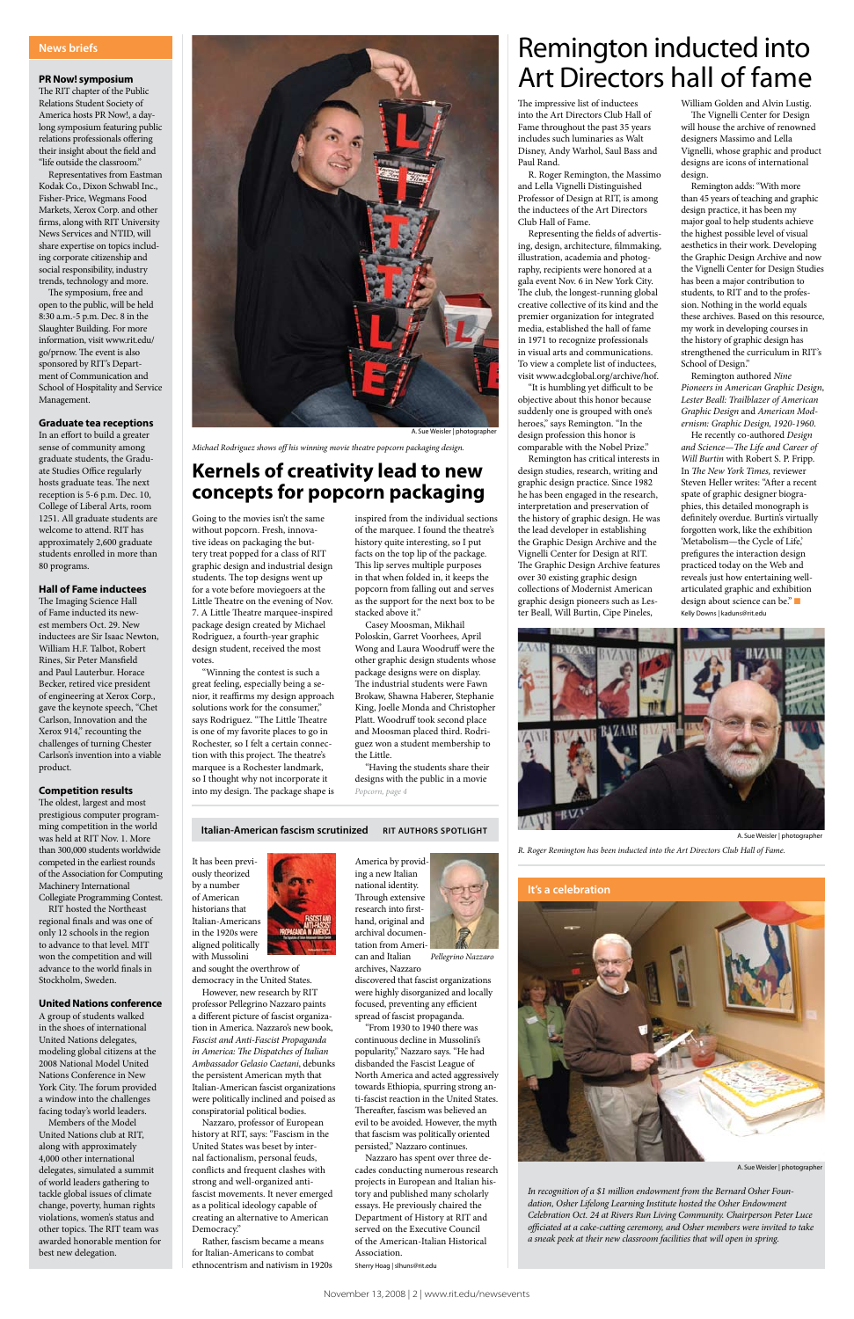Going to the movies isn't the same without popcorn. Fresh, innovative ideas on packaging the buttery treat popped for a class of RIT graphic design and industrial design students. The top designs went up for a vote before moviegoers at the Little Theatre on the evening of Nov. 7. A Little Theatre marquee-inspired package design created by Michael Rodriguez, a fourth-year graphic design student, received the most votes.

"Winning the contest is such a great feeling, especially being a senior, it reaffirms my design approach solutions work for the consumer," says Rodriguez. "The Little Theatre is one of my favorite places to go in Rochester, so I felt a certain connection with this project. The theatre's marquee is a Rochester landmark, so I thought why not incorporate it into my design. The package shape is

inspired from the individual sections of the marquee. I found the theatre's history quite interesting, so I put facts on the top lip of the package. This lip serves multiple purposes in that when folded in, it keeps the popcorn from falling out and serves as the support for the next box to be stacked above it."

Casey Moosman, Mikhail Poloskin, Garret Voorhees, April Wong and Laura Woodruff were the other graphic design students whose package designs were on display. The industrial students were Fawn Brokaw, Shawna Haberer, Stephanie King, Joelle Monda and Christopher Platt. Woodruff took second place and Moosman placed third. Rodriguez won a student membership to the Little.

It has been previously theorized by a number of American historians that Italian-Americans in the 1920s were aligned politically with Mussolini

and sought the overthrow of

democracy in the United States.

However, new research by RIT professor Pellegrino Nazzaro paints a different picture of fascist organization in America. Nazzaro's new book, *Fascist and Anti-Fascist Propaganda in America: The Dispatches of Italian Ambassador Gelasio Caetani*, debunks the persistent American myth that Italian-American fascist organizations were politically inclined and poised as conspiratorial political bodies.

Nazzaro, professor of European history at RIT, says: "Fascism in the United States was beset by internal factionalism, personal feuds, conflicts and frequent clashes with strong and well-organized antifascist movements. It never emerged as a political ideology capable of creating an alternative to American Democracy."

Rather, fascism became a means for Italian-Americans to combat ethnocentrism and nativism in 1920s archives, Nazza



discovered that fascist organizations were highly disorganized and locally focused, preventing any efficient spread of fascist propaganda.

"From 1930 to 1940 there was continuous decline in Mussolini's popularity," Nazzaro says. "He had disbanded the Fascist League of North America and acted aggressively towards Ethiopia, spurring strong anti-fascist reaction in the United States. Thereafter, fascism was believed an evil to be avoided. However, the myth that fascism was politically oriented persisted," Nazzaro continues.

Nazzaro has spent over three decades conducting numerous research projects in European and Italian history and published many scholarly essays. He previously chaired the Department of History at RIT and served on the Executive Council of the American-Italian Historical Association.

Sherry Hoag | slhuns@rit.edu

The impressive list of inductees into the Art Directors Club Hall of Fame throughout the past 35 years includes such luminaries as Walt Disney, Andy Warhol, Saul Bass and Paul Rand.

R. Roger Remington, the Massimo and Lella Vignelli Distinguished Professor of Design at RIT, is among the inductees of the Art Directors Club Hall of Fame.

Representing the fields of advertising, design, architecture, filmmaking, illustration, academia and photography, recipients were honored at a gala event Nov. 6 in New York City. The club, the longest-running global creative collective of its kind and the premier organization for integrated media, established the hall of fame in 1971 to recognize professionals in visual arts and communications. To view a complete list of inductees, visit www.adcglobal.org/archive/hof.

RIT hosted the Northeast regional finals and was one of only 12 schools in the region to advance to that level. MIT won the competition and will vance to the world finals in

"It is humbling yet difficult to be objective about this honor because suddenly one is grouped with one's heroes," says Remington. "In the design profession this honor is comparable with the Nobel Prize."

Remington has critical interests in design studies, research, writing and graphic design practice. Since 1982 he has been engaged in the research, interpretation and preservation of the history of graphic design. He was the lead developer in establishing the Graphic Design Archive and the Vignelli Center for Design at RIT. The Graphic Design Archive features over 30 existing graphic design collections of Modernist American graphic design pioneers such as Lester Beall, Will Burtin, Cipe Pineles,

William Golden and Alvin Lustig. The Vignelli Center for Design will house the archive of renowned designers Massimo and Lella Vignelli, whose graphic and product designs are icons of international design.

Remington adds: "With more than 45 years of teaching and graphic design practice, it has been my major goal to help students achieve the highest possible level of visual aesthetics in their work. Developing the Graphic Design Archive and now the Vignelli Center for Design Studies has been a major contribution to students, to RIT and to the profession. Nothing in the world equals these archives. Based on this resource, my work in developing courses in the history of graphic design has strengthened the curriculum in RIT's School of Design."

"Having the students share their designs with the public in a movie *Popcorn, page 4*

#### **Italian-American fascism scrutinized RIT AUTHORS SPOTLIGHT**

Remington authored *Nine Pioneers in American Graphic Design*, *Lester Beall: Trailblazer of American Graphic Design* and *American Modernism: Graphic Design, 1920-1960*.

He recently co-authored *Design and Science—The Life and Career of Will Burtin* with Robert S. P. Fripp. In *The New York Times,* reviewer Steven Heller writes: "After a recent spate of graphic designer biographies, this detailed monograph is definitely overdue. Burtin's virtually forgotten work, like the exhibition 'Metabolism—the Cycle of Life,' prefigures the interaction design practiced today on the Web and reveals just how entertaining wellarticulated graphic and exhibition design about science can be." Kelly Downs | kaduns@rit.edu

can and Italian *Pellegrino Nazzaro*

> *In recognition of a \$1 million endowment from the Bernard Osher Foundation, Osher Lifelong Learning Institute hosted the Osher Endowment Celebration Oct. 24 at Rivers Run Living Community. Chairperson Peter Luce officiated at a cake-cutting ceremony, and Osher members were invited to take a sneak peek at their new classroom facilities that will open in spring.*

A. Sue Weisler | photographer

#### **PR Now! symposium**

The RIT chapter of the Public Relations Student Society of America hosts PR Now!, a daylong symposium featuring public relations professionals offering their insight about the field and "life outside the classroom."

Representatives from Eastman Kodak Co., Dixon Schwabl Inc., Fisher-Price, Wegmans Food Markets, Xerox Corp. and other firms, along with RIT University News Services and NTID, will share expertise on topics including corporate citizenship and social responsibility, industry trends, technology and more.

The symposium, free and open to the public, will be held 8:30 a.m.-5 p.m. Dec. 8 in the Slaughter Building. For more information, visit www.rit.edu/ go/prnow. The event is also sponsored by RIT's Department of Communication and School of Hospitality and Service Management.

#### **Graduate tea receptions**

In an effort to build a greater sense of community among graduate students, the Graduate Studies Office regularly hosts graduate teas. The next reception is 5-6 p.m. Dec. 10, College of Liberal Arts, room 1251. All graduate students are welcome to attend. RIT has approximately 2,600 graduate students enrolled in more than 80 programs.

#### **Hall of Fame inductees**

*R. Roger Remington has been inducted into the Art Directors Club Hall of Fame.*



The Imaging Science Hall of Fame inducted its newest members Oct. 29. New inductees are Sir Isaac Newton, William H.F. Talbot, Robert Rines, Sir Peter Mansfield and Paul Lauterbur. Horace Becker, retired vice president of engineering at Xerox Corp., gave the keynote speech, "Chet Carlson, Innovation and the Xerox 914," recounting the challenges of turning Chester Carlson's invention into a viable product.

#### **Competition results**

The oldest, largest and most prestigious computer programming competition in the world was held at RIT Nov. 1. More than 300,000 students worldwide competed in the earliest rounds of the Association for Computing Machinery International Collegiate Programming Contest.

Stockholm, Sweden.

#### **United Nations conference**

A group of students walked in the shoes of international United Nations delegates, modeling global citizens at the 2008 National Model United Nations Conference in New York City. The forum provided a window into the challenges facing today's world leaders. Members of the Model United Nations club at RIT, along with approximately 4,000 other international delegates, simulated a summit of world leaders gathering to tackle global issues of climate change, poverty, human rights

violations, women's status and other topics. The RIT team was awarded honorable mention for

best new delegation.

#### **News briefs**



A. Sue Weisler | photographer

## **Kernels of creativity lead to new concepts for popcorn packaging**

# Remington inducted into Art Directors hall of fame

*Michael Rodriguez shows off his winning movie theatre popcorn packaging design.*